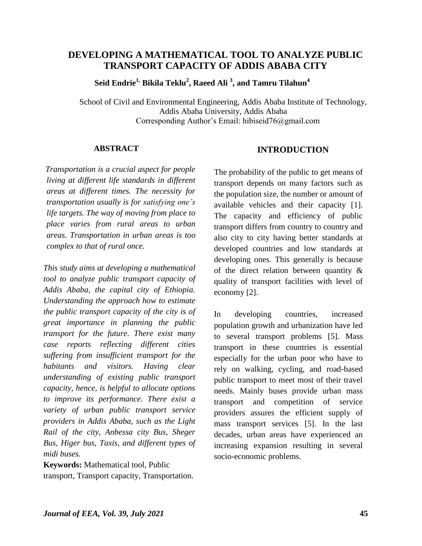# **DEVELOPING A MATHEMATICAL TOOL TO ANALYZE PUBLIC TRANSPORT CAPACITY OF ADDIS ABABA CITY**

 **Seid Endrie1, Bikila Teklu<sup>2</sup> , Raeed Ali <sup>3</sup> , and Tamru Tilahun<sup>4</sup>**

School of Civil and Environmental Engineering, Addis Ababa Institute of Technology, Addis Ababa University, Addis Ababa Corresponding Author's Email: hibiseid76@gmail.com

#### **ABSTRACT**

 *Transportation is a crucial aspect for people living at different life standards in different areas at different times. The necessity for transportation usually is for satisfying one's life targets. The way of moving from place to place varies from rural areas to urban areas. Transportation in urban areas is too complex to that of rural once.* 

 *This study aims at developing a mathematical tool to analyze public transport capacity of Addis Ababa, the capital city of Ethiopia. Understanding the approach how to estimate the public transport capacity of the city is of great importance in planning the public transport for the future. There exist many case reports reflecting different cities suffering from insufficient transport for the habitants and visitors. Having clear understanding of existing public transport capacity, hence, is helpful to allocate options to improve its performance. There exist a variety of urban public transport service providers in Addis Ababa, such as the Light Rail of the city, Anbessa city Bus, Sheger Bus, Higer bus, Taxis, and different types of midi buses.* 

**Keywords:** Mathematical tool, Public transport, Transport capacity, Transportation.

## **INTRODUCTION**

The probability of the public to get means of transport depends on many factors such as the population size, the number or amount of available vehicles and their capacity [1]. The capacity and efficiency of public transport differs from country to country and also city to city having better standards at developed countries and low standards at developing ones. This generally is because of the direct relation between quantity & quality of transport facilities with level of economy [2].

In developing countries, increased population growth and urbanization have led to several transport problems [5]. Mass transport in these countries is essential especially for the urban poor who have to rely on walking, cycling, and road-based public transport to meet most of their travel needs. Mainly buses provide urban mass transport and competition of service providers assures the efficient supply of mass transport services [5]. In the last decades, urban areas have experienced an increasing expansion resulting in several socio-economic problems.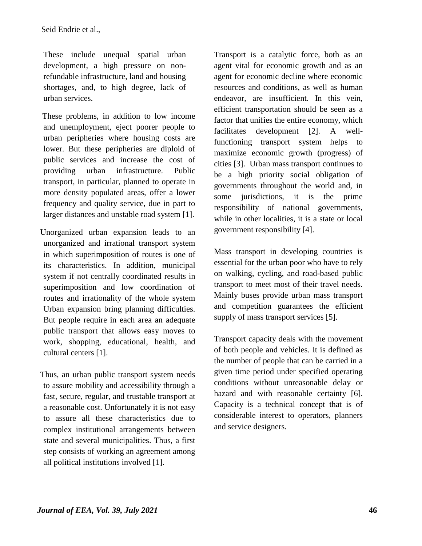These include unequal spatial urban development, a high pressure on nonrefundable infrastructure, land and housing shortages, and, to high degree, lack of urban services.

 These problems, in addition to low income and unemployment, eject poorer people to urban peripheries where housing costs are lower. But these peripheries are diploid of public services and increase the cost of providing urban infrastructure. Public transport, in particular, planned to operate in more density populated areas, offer a lower frequency and quality service, due in part to larger distances and unstable road system [1].

 Unorganized urban expansion leads to an unorganized and irrational transport system in which superimposition of routes is one of its characteristics. In addition, municipal system if not centrally coordinated results in superimposition and low coordination of routes and irrationality of the whole system Urban expansion bring planning difficulties. But people require in each area an adequate public transport that allows easy moves to work, shopping, educational, health, and cultural centers [1].

 Thus, an urban public transport system needs to assure mobility and accessibility through a fast, secure, regular, and trustable transport at a reasonable cost. Unfortunately it is not easy to assure all these characteristics due to complex institutional arrangements between state and several municipalities. Thus, a first step consists of working an agreement among all political institutions involved [1].

Transport is a catalytic force, both as an agent vital for economic growth and as an agent for economic decline where economic resources and conditions, as well as human endeavor, are insufficient. In this vein, efficient transportation should be seen as a factor that unifies the entire economy, which facilitates development [2]. A wellfunctioning transport system helps to maximize economic growth (progress) of cities [3]. Urban mass transport continues to be a high priority social obligation of governments throughout the world and, in some jurisdictions, it is the prime responsibility of national governments, while in other localities, it is a state or local government responsibility [4].

Mass transport in developing countries is essential for the urban poor who have to rely on walking, cycling, and road-based public transport to meet most of their travel needs. Mainly buses provide urban mass transport and competition guarantees the efficient supply of mass transport services [5].

Transport capacity deals with the movement of both people and vehicles. It is defined as the number of people that can be carried in a given time period under specified operating conditions without unreasonable delay or hazard and with reasonable certainty [6]. Capacity is a technical concept that is of considerable interest to operators, planners and service designers.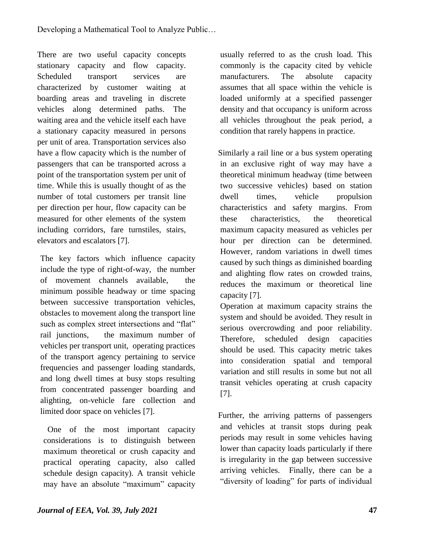There are two useful capacity concepts stationary capacity and flow capacity. Scheduled transport services are characterized by customer waiting at boarding areas and traveling in discrete vehicles along determined paths. The waiting area and the vehicle itself each have a stationary capacity measured in persons per unit of area. Transportation services also have a flow capacity which is the number of passengers that can be transported across a point of the transportation system per unit of time. While this is usually thought of as the number of total customers per transit line per direction per hour, flow capacity can be measured for other elements of the system including corridors, fare turnstiles, stairs, elevators and escalators [7].

The key factors which influence capacity include the type of right-of-way, the number of movement channels available, the minimum possible headway or time spacing between successive transportation vehicles, obstacles to movement along the transport line such as complex street intersections and "flat" rail junctions, the maximum number of vehicles per transport unit, operating practices of the transport agency pertaining to service frequencies and passenger loading standards, and long dwell times at busy stops resulting from concentrated passenger boarding and alighting, on-vehicle fare collection and limited door space on vehicles [7].

 One of the most important capacity considerations is to distinguish between maximum theoretical or crush capacity and practical operating capacity, also called schedule design capacity). A transit vehicle may have an absolute "maximum" capacity usually referred to as the crush load. This commonly is the capacity cited by vehicle manufacturers. The absolute capacity assumes that all space within the vehicle is loaded uniformly at a specified passenger density and that occupancy is uniform across all vehicles throughout the peak period, a condition that rarely happens in practice.

 Similarly a rail line or a bus system operating in an exclusive right of way may have a theoretical minimum headway (time between two successive vehicles) based on station dwell times, vehicle propulsion characteristics and safety margins. From these characteristics, the theoretical maximum capacity measured as vehicles per hour per direction can be determined. However, random variations in dwell times caused by such things as diminished boarding and alighting flow rates on crowded trains, reduces the maximum or theoretical line capacity [7].

 Operation at maximum capacity strains the system and should be avoided. They result in serious overcrowding and poor reliability. Therefore, scheduled design capacities should be used. This capacity metric takes into consideration spatial and temporal variation and still results in some but not all transit vehicles operating at crush capacity [7].

 Further, the arriving patterns of passengers and vehicles at transit stops during peak periods may result in some vehicles having lower than capacity loads particularly if there is irregularity in the gap between successive arriving vehicles. Finally, there can be a "diversity of loading" for parts of individual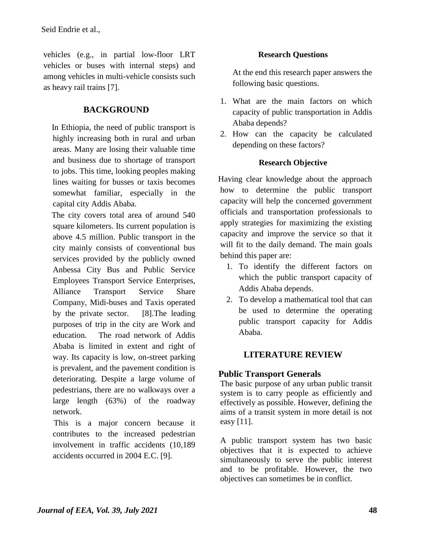vehicles (e.g., in partial low-floor LRT vehicles or buses with internal steps) and among vehicles in multi-vehicle consists such as heavy rail trains [7].

# **BACKGROUND**

 In Ethiopia, the need of public transport is highly increasing both in rural and urban areas. Many are losing their valuable time and business due to shortage of transport to jobs. This time, looking peoples making lines waiting for busses or taxis becomes somewhat familiar, especially in the capital city Addis Ababa.

 The city covers total area of around 540 square kilometers. Its current population is above 4.5 million. Public transport in the city mainly consists of conventional bus services provided by the publicly owned Anbessa City Bus and Public Service Employees Transport Service Enterprises, Alliance Transport Service Share Company, Midi-buses and Taxis operated by the private sector. [8].The leading purposes of trip in the city are Work and education. The road network of Addis Ababa is limited in extent and right of way. Its capacity is low, on-street parking is prevalent, and the pavement condition is deteriorating. Despite a large volume of pedestrians, there are no walkways over a large length (63%) of the roadway network.

 This is a major concern because it contributes to the increased pedestrian involvement in traffic accidents (10,189 accidents occurred in 2004 E.C. [9].

## **Research Questions**

At the end this research paper answers the following basic questions.

- 1. What are the main factors on which capacity of public transportation in Addis Ababa depends?
- 2. How can the capacity be calculated depending on these factors?

## **Research Objective**

 Having clear knowledge about the approach how to determine the public transport capacity will help the concerned government officials and transportation professionals to apply strategies for maximizing the existing capacity and improve the service so that it will fit to the daily demand. The main goals behind this paper are:

- 1. To identify the different factors on which the public transport capacity of Addis Ababa depends.
- 2. To develop a mathematical tool that can be used to determine the operating public transport capacity for Addis Ababa.

# **LITERATURE REVIEW**

# **Public Transport Generals**

The basic purpose of any urban public transit system is to carry people as efficiently and effectively as possible. However, defining the aims of a transit system in more detail is not easy [11].

A public transport system has two basic objectives that it is expected to achieve simultaneously to serve the public interest and to be profitable. However, the two objectives can sometimes be in conflict.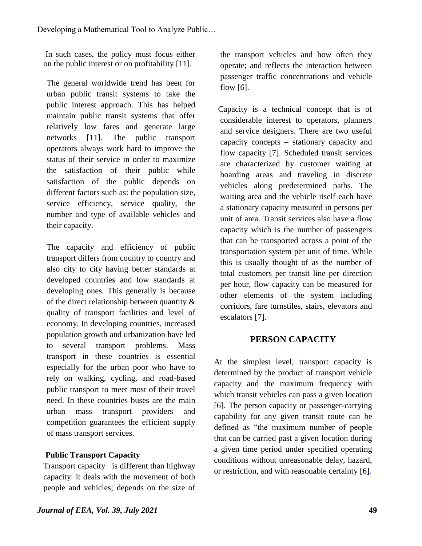In such cases, the policy must focus either on the public interest or on profitability [11].

The general worldwide trend has been for urban public transit systems to take the public interest approach. This has helped maintain public transit systems that offer relatively low fares and generate large networks [11]. The public transport operators always work hard to improve the status of their service in order to maximize the satisfaction of their public while satisfaction of the public depends on different factors such as: the population size, service efficiency, service quality, the number and type of available vehicles and their capacity.

The capacity and efficiency of public transport differs from country to country and also city to city having better standards at developed countries and low standards at developing ones. This generally is because of the direct relationship between quantity & quality of transport facilities and level of economy. In developing countries, increased population growth and urbanization have led to several transport problems. Mass transport in these countries is essential especially for the urban poor who have to rely on walking, cycling, and road-based public transport to meet most of their travel need. In these countries buses are the main urban mass transport providers and competition guarantees the efficient supply of mass transport services.

# **Public Transport Capacity**

 Transport capacity is different than highway capacity: it deals with the movement of both people and vehicles; depends on the size of the transport vehicles and how often they operate; and reflects the interaction between passenger traffic concentrations and vehicle flow [6].

 Capacity is a technical concept that is of considerable interest to operators, planners and service designers. There are two useful capacity concepts – stationary capacity and flow capacity [7]. Scheduled transit services are characterized by customer waiting at boarding areas and traveling in discrete vehicles along predetermined paths. The waiting area and the vehicle itself each have a stationary capacity measured in persons per unit of area. Transit services also have a flow capacity which is the number of passengers that can be transported across a point of the transportation system per unit of time. While this is usually thought of as the number of total customers per transit line per direction per hour, flow capacity can be measured for other elements of the system including corridors, fare turnstiles, stairs, elevators and escalators [7].

# **PERSON CAPACITY**

At the simplest level, transport capacity is determined by the product of transport vehicle capacity and the maximum frequency with which transit vehicles can pass a given location [6]. The person capacity or passenger-carrying capability for any given transit route can be defined as "the maximum number of people that can be carried past a given location during a given time period under specified operating conditions without unreasonable delay, hazard, or restriction, and with reasonable certainty [6].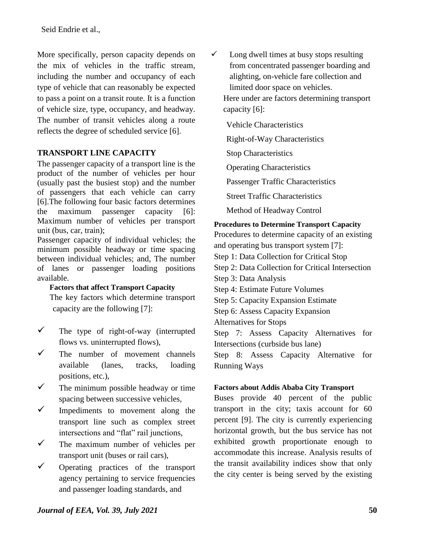Seid Endrie et al.,

More specifically, person capacity depends on the mix of vehicles in the traffic stream, including the number and occupancy of each type of vehicle that can reasonably be expected to pass a point on a transit route. It is a function of vehicle size, type, occupancy, and headway. The number of transit vehicles along a route reflects the degree of scheduled service [6].

### **TRANSPORT LINE CAPACITY**

The passenger capacity of a transport line is the product of the number of vehicles per hour (usually past the busiest stop) and the number of passengers that each vehicle can carry [6].The following four basic factors determines the maximum passenger capacity [6]: Maximum number of vehicles per transport unit (bus, car, train);

Passenger capacity of individual vehicles; the minimum possible headway or time spacing between individual vehicles; and, The number of lanes or passenger loading positions available.

#### **Factors that affect Transport Capacity**

The key factors which determine transport capacity are the following [7]:

- $\checkmark$  The type of right-of-way (interrupted flows vs. uninterrupted flows),
- $\checkmark$  The number of movement channels available (lanes, tracks, loading positions, etc.),
- $\checkmark$  The minimum possible headway or time spacing between successive vehicles,
- $\checkmark$  Impediments to movement along the transport line such as complex street intersections and "flat" rail junctions,
- $\checkmark$  The maximum number of vehicles per transport unit (buses or rail cars),
- Operating practices of the transport agency pertaining to service frequencies and passenger loading standards, and

 $\checkmark$  Long dwell times at busy stops resulting from concentrated passenger boarding and alighting, on-vehicle fare collection and limited door space on vehicles.

Here under are factors determining transport capacity [6]:

Vehicle Characteristics

Right-of-Way Characteristics

Stop Characteristics

Operating Characteristics

Passenger Traffic Characteristics

Street Traffic Characteristics

Method of Headway Control

#### **Procedures to Determine Transport Capacity**

Procedures to determine capacity of an existing and operating bus transport system [7]: Step 1: Data Collection for Critical Stop Step 2: Data Collection for Critical Intersection Step 3: Data Analysis Step 4: Estimate Future Volumes Step 5: Capacity Expansion Estimate Step 6: Assess Capacity Expansion Alternatives for Stops Step 7: Assess Capacity Alternatives for Intersections (curbside bus lane) Step 8: Assess Capacity Alternative for

Running Ways

#### **Factors about Addis Ababa City Transport**

Buses provide 40 percent of the public transport in the city; taxis account for 60 percent [9]. The city is currently experiencing horizontal growth, but the bus service has not exhibited growth proportionate enough to accommodate this increase. Analysis results of the transit availability indices show that only the city center is being served by the existing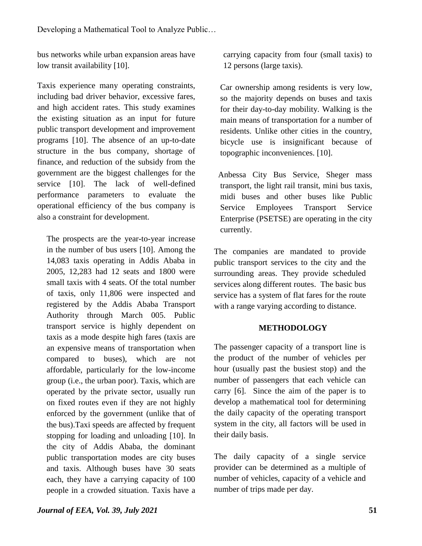bus networks while urban expansion areas have low transit availability [10].

Taxis experience many operating constraints, including bad driver behavior, excessive fares, and high accident rates. This study examines the existing situation as an input for future public transport development and improvement programs [10]. The absence of an up-to-date structure in the bus company, shortage of finance, and reduction of the subsidy from the government are the biggest challenges for the service [10]. The lack of well-defined performance parameters to evaluate the operational efficiency of the bus company is also a constraint for development.

The prospects are the year-to-year increase in the number of bus users [10]. Among the 14,083 taxis operating in Addis Ababa in 2005, 12,283 had 12 seats and 1800 were small taxis with 4 seats. Of the total number of taxis, only 11,806 were inspected and registered by the Addis Ababa Transport Authority through March 005. Public transport service is highly dependent on taxis as a mode despite high fares (taxis are an expensive means of transportation when compared to buses), which are not affordable, particularly for the low-income group (i.e., the urban poor). Taxis, which are operated by the private sector, usually run on fixed routes even if they are not highly enforced by the government (unlike that of the bus).Taxi speeds are affected by frequent stopping for loading and unloading [10]. In the city of Addis Ababa, the dominant public transportation modes are city buses and taxis. Although buses have 30 seats each, they have a carrying capacity of 100 people in a crowded situation. Taxis have a carrying capacity from four (small taxis) to 12 persons (large taxis).

 Car ownership among residents is very low, so the majority depends on buses and taxis for their day-to-day mobility. Walking is the main means of transportation for a number of residents. Unlike other cities in the country, bicycle use is insignificant because of topographic inconveniences. [10].

 Anbessa City Bus Service, Sheger mass transport, the light rail transit, mini bus taxis, midi buses and other buses like Public Service Employees Transport Service Enterprise (PSETSE) are operating in the city currently.

The companies are mandated to provide public transport services to the city and the surrounding areas. They provide scheduled services along different routes. The basic bus service has a system of flat fares for the route with a range varying according to distance.

### **METHODOLOGY**

The passenger capacity of a transport line is the product of the number of vehicles per hour (usually past the busiest stop) and the number of passengers that each vehicle can carry [6]. Since the aim of the paper is to develop a mathematical tool for determining the daily capacity of the operating transport system in the city, all factors will be used in their daily basis.

The daily capacity of a single service provider can be determined as a multiple of number of vehicles, capacity of a vehicle and number of trips made per day.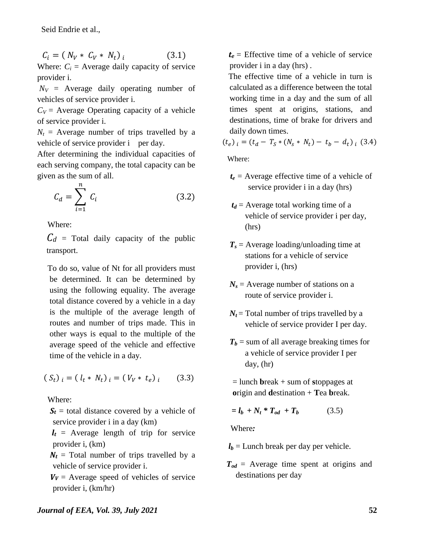$$
C_i = (N_V * C_V * N_t)_{i}
$$
 (3.1)

Where:  $C_i$  = Average daily capacity of service provider i.

 $N_V$  = Average daily operating number of vehicles of service provider i.

 $C_V$  = Average Operating capacity of a vehicle of service provider i.

 $N_t$  = Average number of trips travelled by a vehicle of service provider i per day.

After determining the individual capacities of each serving company, the total capacity can be given as the sum of all.

$$
C_d = \sum_{i=1}^{n} C_i
$$
 (3.2)

Where:

 $C_d$  = Total daily capacity of the public transport.

 To do so, value of Nt for all providers must be determined. It can be determined by using the following equality. The average total distance covered by a vehicle in a day is the multiple of the average length of routes and number of trips made. This in other ways is equal to the multiple of the average speed of the vehicle and effective time of the vehicle in a day.

$$
(S_t)_{i} = (l_t * N_t)_{i} = (V_V * t_e)_{i} \qquad (3.3)
$$

Where:

 $S_t$  = total distance covered by a vehicle of service provider i in a day (km)

 $l_t$  = Average length of trip for service provider i, (km)

 $N_t$  = Total number of trips travelled by a vehicle of service provider i.

 $V_V$  = Average speed of vehicles of service provider i, (km/hr)

 $t_e$  = Effective time of a vehicle of service provider i in a day (hrs) .

 The effective time of a vehicle in turn is calculated as a difference between the total working time in a day and the sum of all times spent at origins, stations, and destinations, time of brake for drivers and daily down times.

$$
(t_e)_i = (t_d - T_S * (N_S * N_t) - t_b - d_t)_i
$$
 (3.4)

Where:

- $t_e$  = Average effective time of a vehicle of service provider i in a day (hrs)
- $t_d$  = Average total working time of a vehicle of service provider i per day, (hrs)
- *T<sup>s</sup>* = Average loading/unloading time at stations for a vehicle of service provider i, (hrs)
- $N_s$  = Average number of stations on a route of service provider i.
- $N_t$  = Total number of trips travelled by a vehicle of service provider I per day.
- $T_b$  = sum of all average breaking times for a vehicle of service provider I per day, (hr)

= lunch **b**reak + sum of **s**toppages at **o**rigin and **d**estination + **T**ea **b**reak.

$$
= l_b + N_t * T_{od} + T_b \tag{3.5}
$$

Where*:* 

 $l_b$  = Lunch break per day per vehicle.

*Tod* = Average time spent at origins and destinations per day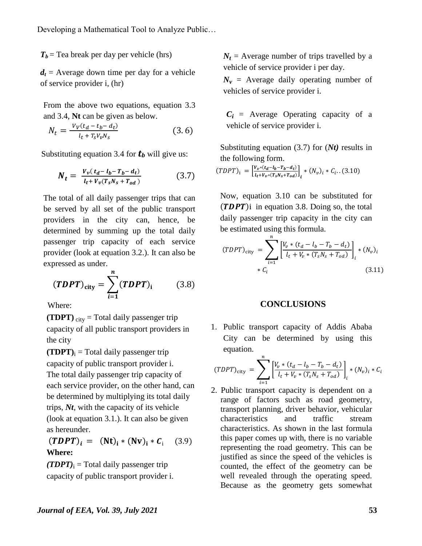$T_b$  = Tea break per day per vehicle (hrs)

 $d_t$  = Average down time per day for a vehicle of service provider i, (hr)

From the above two equations, equation 3.3 and 3.4, **Nt** can be given as below.

$$
N_t = \frac{v_V(t_d - t_b - d_t)}{t_t + T_S V_p N_S}
$$
(3.6)

Substituting equation 3.4 for *t<sup>b</sup>* will give us:

$$
N_t = \frac{V_v(t_d - l_b - T_b - d_t)}{l_t + V_v(T_s N_s + T_{od})}
$$
(3.7)

The total of all daily passenger trips that can be served by all set of the public transport providers in the city can, hence, be determined by summing up the total daily passenger trip capacity of each service provider (look at equation 3.2.). It can also be expressed as under.

$$
(\mathbf{TDPT})_{\text{city}} = \sum_{i=1}^{n} (\mathbf{TDPT})_i \tag{3.8}
$$

Where:

**(TDPT)**  $_{\text{city}}$  = Total daily passenger trip capacity of all public transport providers in the city

 $(TDPT)$ <sub>i</sub> = Total daily passenger trip capacity of public transport provider i. The total daily passenger trip capacity of each service provider, on the other hand, can be determined by multiplying its total daily trips, *Nt*, with the capacity of its vehicle (look at equation 3.1.). It can also be given as hereunder.

 $(TDPT)_{i} = (Nt)_{i} * (Nv)_{i} * C_{i}$  (3.9) **Where:**

 $(TDPT)$ <sub>i</sub> = Total daily passenger trip capacity of public transport provider i.  $N_t$  = Average number of trips travelled by a vehicle of service provider i per day.

 $N_v$  = Average daily operating number of vehicles of service provider i.

 $C_i$  = Average Operating capacity of a vehicle of service provider i.

Substituting equation (3.7) for (*Nt)* results in the following form.

$$
(TDPT)_{i} = \left[\frac{V_{v}*(t_{d}-t_{b}-T_{b}-d_{t})}{t_{t}+V_{v}*(T_{s}N_{s}+T_{od})}\right]_{i} * (N_{v})_{i} * C_{i}...(3.10)
$$

Now, equation 3.10 can be substituted for  $(TDPT)$ i in equation 3.8. Doing so, the total daily passenger trip capacity in the city can be estimated using this formula.

$$
(TDPT)_{\text{city}} = \sum_{i=1}^{n} \left[ \frac{V_v * (t_d - l_b - T_b - d_t)}{l_t + V_v * (T_s N_s + T_{od})} \right]_i * (N_v)_i
$$
  
\*  $C_i$  (3.11)

#### **CONCLUSIONS**

1. Public transport capacity of Addis Ababa City can be determined by using this equation.

$$
(TDPT)_{\text{city}} = \sum_{i=1}^{n} \left[ \frac{V_v * (t_d - l_b - T_b - d_t)}{l_t + V_v * (T_s N_s + T_{od})} \right]_i * (N_v)_i * C_i
$$

2. Public transport capacity is dependent on a range of factors such as road geometry, transport planning, driver behavior, vehicular characteristics and traffic stream characteristics. As shown in the last formula this paper comes up with, there is no variable representing the road geometry. This can be justified as since the speed of the vehicles is counted, the effect of the geometry can be well revealed through the operating speed. Because as the geometry gets somewhat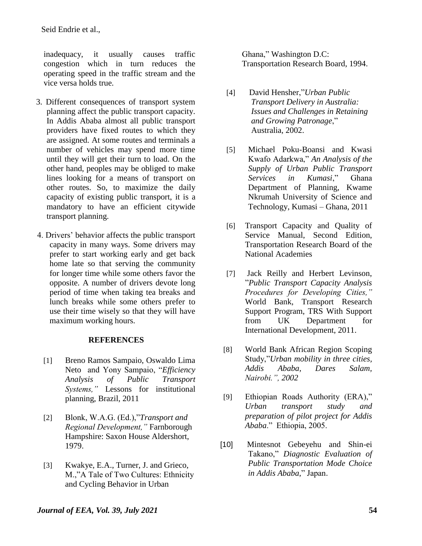inadequacy, it usually causes traffic congestion which in turn reduces the operating speed in the traffic stream and the vice versa holds true.

- 3. Different consequences of transport system planning affect the public transport capacity. In Addis Ababa almost all public transport providers have fixed routes to which they are assigned. At some routes and terminals a number of vehicles may spend more time until they will get their turn to load. On the other hand, peoples may be obliged to make lines looking for a means of transport on other routes. So, to maximize the daily capacity of existing public transport, it is a mandatory to have an efficient citywide transport planning.
- 4. Drivers' behavior affects the public transport capacity in many ways. Some drivers may prefer to start working early and get back home late so that serving the community for longer time while some others favor the opposite. A number of drivers devote long period of time when taking tea breaks and lunch breaks while some others prefer to use their time wisely so that they will have maximum working hours.

#### **REFERENCES**

- [1] Breno Ramos Sampaio, Oswaldo Lima Neto and Yony Sampaio, "*Efficiency Analysis of Public Transport Systems,"* Lessons for institutional planning, Brazil, 2011
- [2] Blonk, W.A.G. (Ed.),"*Transport and Regional Development,"* Farnborough Hampshire: Saxon House Aldershort, 1979.
- [3] Kwakye, E.A., Turner, J. and Grieco, M.,"A Tale of Two Cultures: Ethnicity and Cycling Behavior in Urban

Ghana," Washington D.C: Transportation Research Board, 1994.

- [4] David Hensher,"*Urban Public Transport Delivery in Australia: Issues and Challenges in Retaining and Growing Patronage*," Australia, 2002.
- [5] Michael Poku-Boansi and Kwasi Kwafo Adarkwa," *An Analysis of the Supply of Urban Public Transport Services in Kumasi*," Ghana Department of Planning, Kwame Nkrumah University of Science and Technology, Kumasi – Ghana, 2011
- [6] Transport Capacity and Quality of Service Manual, Second Edition, Transportation Research Board of the National Academies
- [7] Jack Reilly and Herbert Levinson, "*Public Transport Capacity Analysis Procedures for Developing Cities,"*  World Bank, Transport Research Support Program, TRS With Support from UK Department for International Development, 2011.
- [8] World Bank African Region Scoping Study,"*Urban mobility in three cities, Addis Ababa, Dares Salam, Nairobi.", 2002*
- [9] Ethiopian Roads Authority (ERA)," *Urban transport study and preparation of pilot project for Addis Ababa*." Ethiopia, 2005.
- [10] Mintesnot Gebeyehu and Shin-ei Takano," *Diagnostic Evaluation of Public Transportation Mode Choice in Addis Ababa*," Japan.